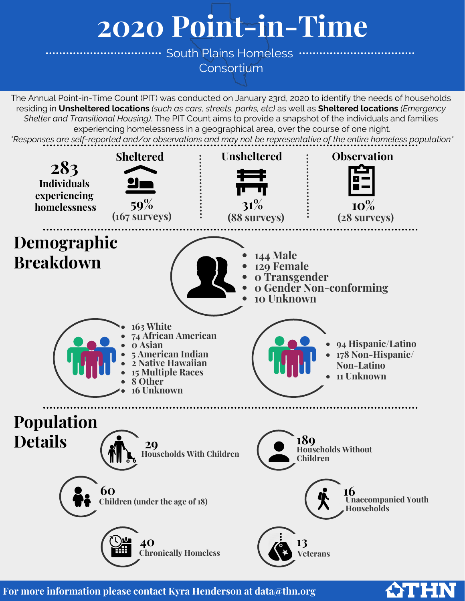# **2020 Point-in-Time**

................. South Plains Homeless ........... **[Consortium](https://www.thn.org/texas-balance-state-continuum-care/data/pit-count-and-hic/)** 

The Annual Point-in-Time Count (PIT) was conducted on January 23rd, 2020 to identify the needs of households residing in **Unsheltered locations** *(such as cars, streets, parks, etc)* as well as **Sheltered locations** *(Emergency Shelter and Transitional Housing)*. The PIT Count aims to provide a snapshot of the individuals and families experiencing homelessness in a geographical area, over the course of one night. *\*Responses are self-reported and/or observations and may not be representative of the entire homeless population\**



**ATHN** 

**For more information please contact Kyra Henderson at data@thn.org**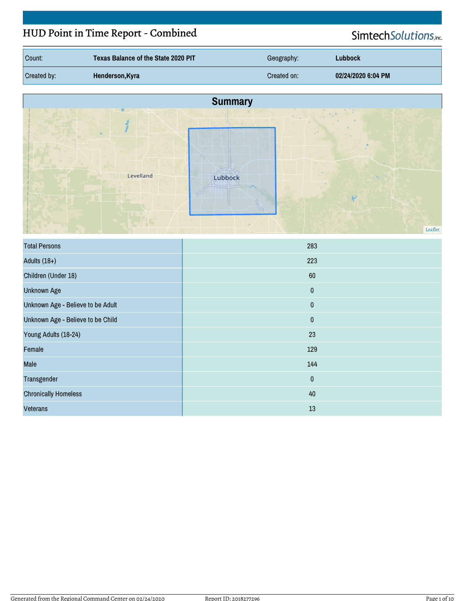# HUD Point in Time Report - Combined

# SimtechSolutions,inc.

| Count:      | Texas Balance of the State 2020 PIT | Geography:  | Lubbock            |
|-------------|-------------------------------------|-------------|--------------------|
| Created by: | Henderson, Kyra                     | Created on: | 02/24/2020 6:04 PM |



| <b>Total Persons</b>              | 283       |
|-----------------------------------|-----------|
| Adults $(18+)$                    | 223       |
| Children (Under 18)               | 60        |
| <b>Unknown Age</b>                | $\pmb{0}$ |
| Unknown Age - Believe to be Adult | $\pmb{0}$ |
| Unknown Age - Believe to be Child | $\pmb{0}$ |
| Young Adults (18-24)              | 23        |
| Female                            | 129       |
| Male                              | 144       |
| Transgender                       | $\pmb{0}$ |
| <b>Chronically Homeless</b>       | 40        |
| <b>Veterans</b>                   | 13        |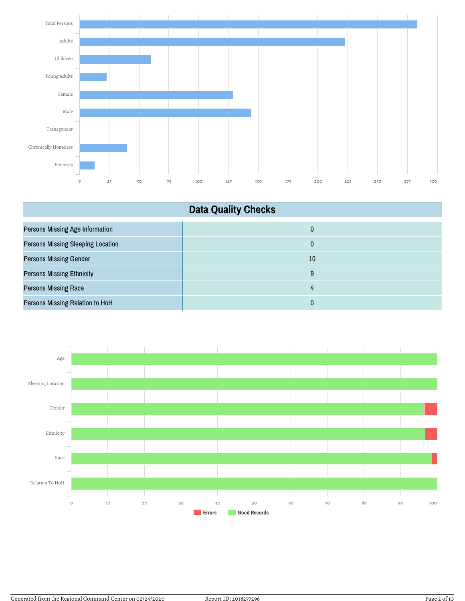

| <b>Data Quality Checks</b>               |    |
|------------------------------------------|----|
| <b>Persons Missing Age Information</b>   | 0  |
| <b>Persons Missing Sleeping Location</b> | 0  |
| <b>Persons Missing Gender</b>            | 10 |
| <b>Persons Missing Ethnicity</b>         | 9  |
| <b>Persons Missing Race</b>              | 4  |
| Persons Missing Relation to HoH          | 0  |

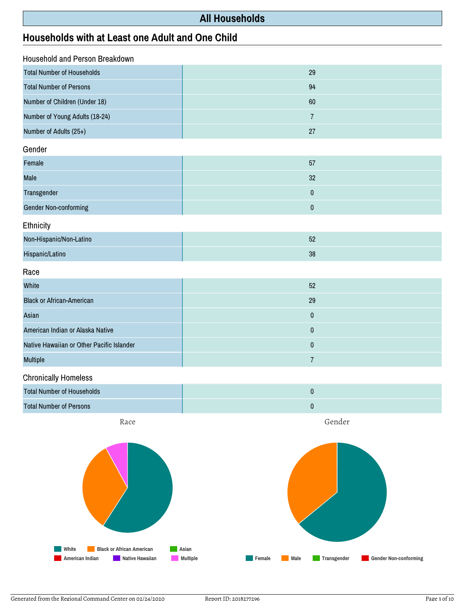## **All Households**

## **Households with at Least one Adult and One Child**

| <b>Household and Person Breakdown</b>     |                |  |
|-------------------------------------------|----------------|--|
| <b>Total Number of Households</b>         | 29             |  |
| <b>Total Number of Persons</b>            | 94             |  |
| Number of Children (Under 18)             | 60             |  |
| Number of Young Adults (18-24)            | $\overline{7}$ |  |
| Number of Adults (25+)                    | 27             |  |
| Gender                                    |                |  |
| Female                                    | 57             |  |
| Male                                      | 32             |  |
| Transgender                               | $\pmb{0}$      |  |
| <b>Gender Non-conforming</b>              | $\pmb{0}$      |  |
| Ethnicity                                 |                |  |
| Non-Hispanic/Non-Latino                   | 52             |  |
| Hispanic/Latino                           | 38             |  |
| Race                                      |                |  |
| White                                     | 52             |  |
| <b>Black or African-American</b>          | 29             |  |
| Asian                                     | $\pmb{0}$      |  |
| American Indian or Alaska Native          | $\pmb{0}$      |  |
| Native Hawaiian or Other Pacific Islander | $\pmb{0}$      |  |
| <b>Multiple</b>                           | $\overline{7}$ |  |
| .                                         |                |  |

Chronically Homeless

| Total Number of Households |  |
|----------------------------|--|
| Total Number of Persons    |  |

Race



Gender

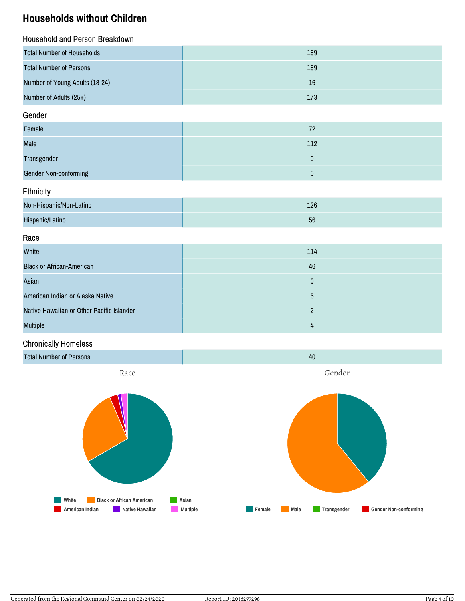## **Households without Children**

| Household and Person Breakdown    |     |
|-----------------------------------|-----|
| <b>Total Number of Households</b> | 189 |
| <b>Total Number of Persons</b>    | 189 |
| Number of Young Adults (18-24)    | 16  |
| Number of Adults (25+)            | 173 |

#### Gender

| Female                       | 72  |
|------------------------------|-----|
| <b>Male</b>                  | 112 |
| Transgender                  |     |
| <b>Gender Non-conforming</b> |     |

#### **Ethnicity**

| Non-Hispanic/Non-Latino | 126 |
|-------------------------|-----|
| Hispanic/Latino         | 56  |

#### Race

| White                                     | 114   |
|-------------------------------------------|-------|
| <b>Black or African-American</b>          | 46    |
| Asian                                     | 0     |
| American Indian or Alaska Native          | ა     |
| Native Hawaiian or Other Pacific Islander |       |
| <b>Multiple</b>                           | $\mu$ |

## Chronically Homeless



**Female Male Transgender Gender Non-conforming**

**American Indian Native Hawaiian Multiple**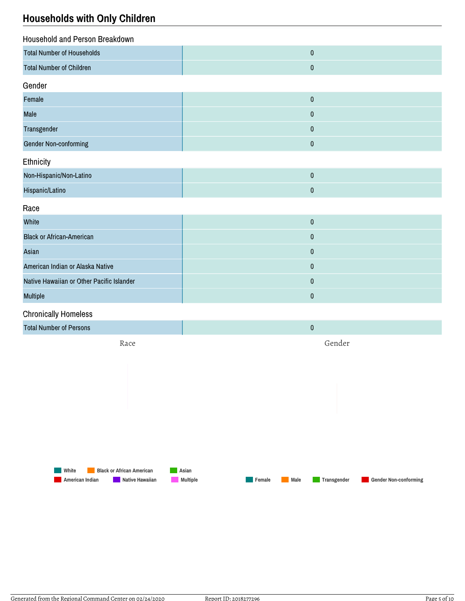## **Households with Only Children**

| <b>Household and Person Breakdown</b>     |           |
|-------------------------------------------|-----------|
| <b>Total Number of Households</b>         | $\pmb{0}$ |
| <b>Total Number of Children</b>           | $\pmb{0}$ |
| Gender                                    |           |
| Female                                    | $\pmb{0}$ |
| Male                                      | $\pmb{0}$ |
| Transgender                               | $\pmb{0}$ |
| <b>Gender Non-conforming</b>              | $\pmb{0}$ |
| Ethnicity                                 |           |
| Non-Hispanic/Non-Latino                   | $\pmb{0}$ |
| Hispanic/Latino                           | $\pmb{0}$ |
| Race                                      |           |
| White                                     | $\pmb{0}$ |
| <b>Black or African-American</b>          | $\pmb{0}$ |
| Asian                                     | $\pmb{0}$ |
| American Indian or Alaska Native          | $\pmb{0}$ |
| Native Hawaiian or Other Pacific Islander | $\pmb{0}$ |
| Multiple                                  | $\pmb{0}$ |
| <b>Chronically Homeless</b>               |           |
| <b>Total Number of Persons</b>            | $\pmb{0}$ |
| Race                                      | Gender    |

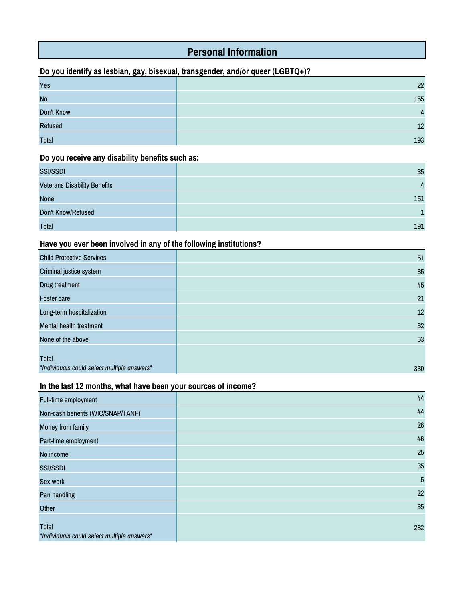## **Personal Information**

## **Do you identify as lesbian, gay, bisexual, transgender, and/or queer (LGBTQ+)?**

| Yes            | 22             |
|----------------|----------------|
| <b>No</b>      | 155            |
| Don't Know     | $\overline{4}$ |
| <b>Refused</b> | 12             |
| <b>Total</b>   | 193            |

#### **Do you receive any disability benefits such as:**

| <b>SSI/SSDI</b>                     | 35  |
|-------------------------------------|-----|
| <b>Veterans Disability Benefits</b> | 4   |
| <b>None</b>                         | 151 |
| Don't Know/Refused                  |     |
| Total                               | 191 |

#### **Have you ever been involved in any of the following institutions?**

| <b>Child Protective Services</b>                     | 51  |
|------------------------------------------------------|-----|
| Criminal justice system                              | 85  |
| Drug treatment                                       | 45  |
| <b>Foster care</b>                                   | 21  |
| Long-term hospitalization                            | 12  |
| <b>Mental health treatment</b>                       | 62  |
| None of the above                                    | 63  |
| Total<br>*Individuals could select multiple answers* | 339 |

## **In the last 12 months, what have been your sources of income?**

| Full-time employment                                 | 44         |
|------------------------------------------------------|------------|
| Non-cash benefits (WIC/SNAP/TANF)                    | 44         |
| Money from family                                    | 26         |
| Part-time employment                                 | 46         |
| No income                                            | 25         |
| <b>SSI/SSDI</b>                                      | 35         |
| Sex work                                             | $\sqrt{5}$ |
| Pan handling                                         | 22         |
| Other                                                | 35         |
| Total<br>*Individuals could select multiple answers* | 282        |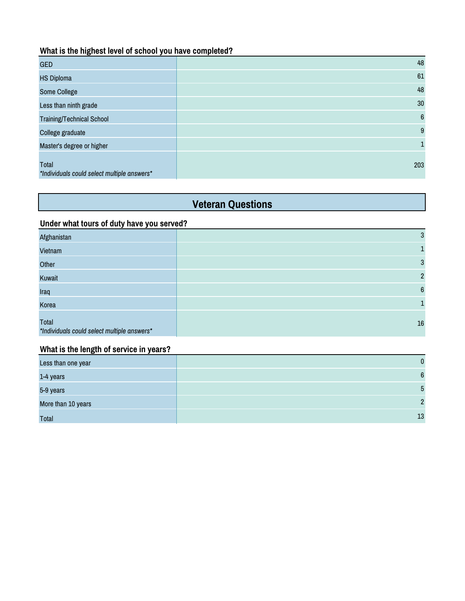#### **What is the highest level of school you have completed?**

| <b>GED</b>                                           | 48             |
|------------------------------------------------------|----------------|
| <b>HS Diploma</b>                                    | 61             |
| Some College                                         | 48             |
| Less than ninth grade                                | 30             |
| <b>Training/Technical School</b>                     | $6\phantom{1}$ |
| College graduate                                     | 9              |
| Master's degree or higher                            | 1              |
| Total<br>*Individuals could select multiple answers* | 203            |

# **Veteran Questions**

#### **Under what tours of duty have you served?**

| Afghanistan                                          | 3              |
|------------------------------------------------------|----------------|
| Vietnam                                              |                |
| Other                                                | 3              |
| Kuwait                                               | $\overline{2}$ |
| Iraq                                                 | $6\phantom{1}$ |
| Korea                                                |                |
| Total<br>*Individuals could select multiple answers* | $16\,$         |

#### **What is the length of service in years?**

| Less than one year | $\Omega$ |
|--------------------|----------|
| 1-4 years          | 6        |
| 5-9 years          | 5        |
| More than 10 years | C        |
| <b>Total</b>       | 13       |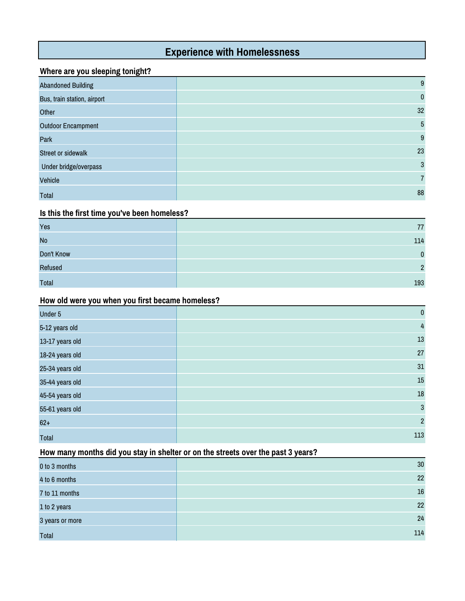# **Experience with Homelessness**

#### **Where are you sleeping tonight?**

| <b>Abandoned Building</b>   | 9            |
|-----------------------------|--------------|
| Bus, train station, airport | $\mathbf{0}$ |
| Other                       | 32           |
| <b>Outdoor Encampment</b>   | 5            |
| Park                        | 9            |
| Street or sidewalk          | 23           |
| Under bridge/overpass       | 3            |
| Vehicle                     | 7            |
| <b>Total</b>                | 88           |

#### **Is this the first time you've been homeless?**

| Yes          | 77  |
|--------------|-----|
| <b>No</b>    | 114 |
| Don't Know   | n   |
| Refused      | C   |
| <b>Total</b> | 193 |

#### **How old were you when you first became homeless?**

| Under 5         | $\pmb{0}$      |
|-----------------|----------------|
| 5-12 years old  | $\overline{4}$ |
| 13-17 years old | 13             |
| 18-24 years old | 27             |
| 25-34 years old | $31\,$         |
| 35-44 years old | $15\,$         |
| 45-54 years old | $18\,$         |
| 55-61 years old | $\mathbf{3}$   |
| $62+$           | $\overline{2}$ |
| Total           | 113            |

#### **How many months did you stay in shelter or on the streets over the past 3 years?**

| 0 to 3 months   | 30 <sup>°</sup> |
|-----------------|-----------------|
| 4 to 6 months   | 22              |
| 7 to 11 months  | 16              |
| 1 to 2 years    | 22              |
| 3 years or more | 24              |
| Total           | 114             |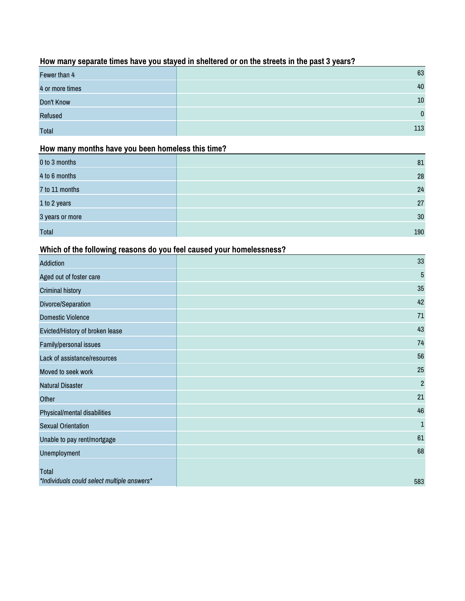## **How many separate times have you stayed in sheltered or on the streets in the past 3 years?**

| Fewer than 4    | 63           |
|-----------------|--------------|
| 4 or more times | 40           |
| Don't Know      | 10           |
| Refused         | $\mathbf{0}$ |
| <b>Total</b>    | 113          |

#### **How many months have you been homeless this time?**

| 0 to 3 months   | 81  |
|-----------------|-----|
| 4 to 6 months   | 28  |
| 7 to 11 months  | 24  |
| 1 to 2 years    | 27  |
| 3 years or more | 30  |
| <b>Total</b>    | 190 |

## **Which of the following reasons do you feel caused your homelessness?**

| <b>Addiction</b>                            | 33             |
|---------------------------------------------|----------------|
| Aged out of foster care                     | 5              |
| <b>Criminal history</b>                     | 35             |
| Divorce/Separation                          | 42             |
| <b>Domestic Violence</b>                    | 71             |
| Evicted/History of broken lease             | 43             |
| Family/personal issues                      | 74             |
| Lack of assistance/resources                | 56             |
| Moved to seek work                          | 25             |
| <b>Natural Disaster</b>                     | $\overline{2}$ |
| Other                                       | 21             |
| Physical/mental disabilities                | 46             |
| <b>Sexual Orientation</b>                   | $\mathbf 1$    |
| Unable to pay rent/mortgage                 | 61             |
| Unemployment                                | 68             |
| <b>Total</b>                                |                |
| *Individuals could select multiple answers* | 583            |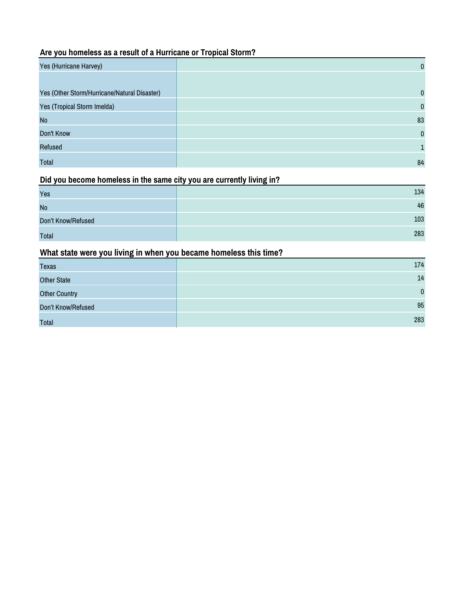## **Are you homeless as a result of a Hurricane or Tropical Storm?**

| Yes (Hurricane Harvey)                       | $\mathbf{0}$ |
|----------------------------------------------|--------------|
|                                              |              |
| Yes (Other Storm/Hurricane/Natural Disaster) | $\mathbf{0}$ |
| Yes (Tropical Storm Imelda)                  | $\mathbf{0}$ |
| <b>No</b>                                    | 83           |
| Don't Know                                   | $\mathbf{0}$ |
| Refused                                      |              |
| Total                                        | 84           |

#### **Did you become homeless in the same city you are currently living in?**

| Yes                | 134 |
|--------------------|-----|
| <b>No</b>          | 46  |
| Don't Know/Refused | 103 |
| <b>Total</b>       | 283 |

## **What state were you living in when you became homeless this time?**

| Texas                | 174          |
|----------------------|--------------|
| <b>Other State</b>   | 14           |
| <b>Other Country</b> | $\mathbf{0}$ |
| Don't Know/Refused   | 95           |
| Total                | 283          |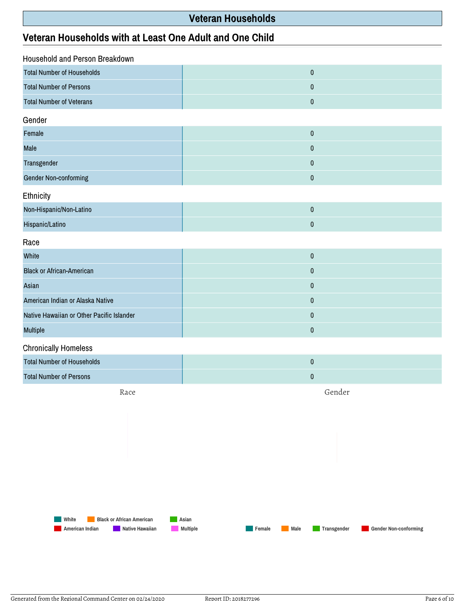## **Veteran Households**

## **Veteran Households with at Least One Adult and One Child**

| Household and Person Breakdown            |           |  |
|-------------------------------------------|-----------|--|
| <b>Total Number of Households</b>         | $\pmb{0}$ |  |
| <b>Total Number of Persons</b>            | $\pmb{0}$ |  |
| <b>Total Number of Veterans</b>           | $\pmb{0}$ |  |
| Gender                                    |           |  |
| Female                                    | $\pmb{0}$ |  |
| Male                                      | $\pmb{0}$ |  |
| Transgender                               | $\pmb{0}$ |  |
| Gender Non-conforming                     | $\pmb{0}$ |  |
| Ethnicity                                 |           |  |
| Non-Hispanic/Non-Latino                   | $\pmb{0}$ |  |
| Hispanic/Latino                           | $\pmb{0}$ |  |
| Race                                      |           |  |
| White                                     | $\pmb{0}$ |  |
| <b>Black or African-American</b>          | $\pmb{0}$ |  |
| Asian                                     | $\pmb{0}$ |  |
| American Indian or Alaska Native          | $\pmb{0}$ |  |
| Native Hawaiian or Other Pacific Islander | $\pmb{0}$ |  |
| Multiple                                  | $\pmb{0}$ |  |
| <b>Chronically Homeless</b>               |           |  |

| Total Number of Households     |  |
|--------------------------------|--|
| <b>Total Number of Persons</b> |  |

Race

Gender

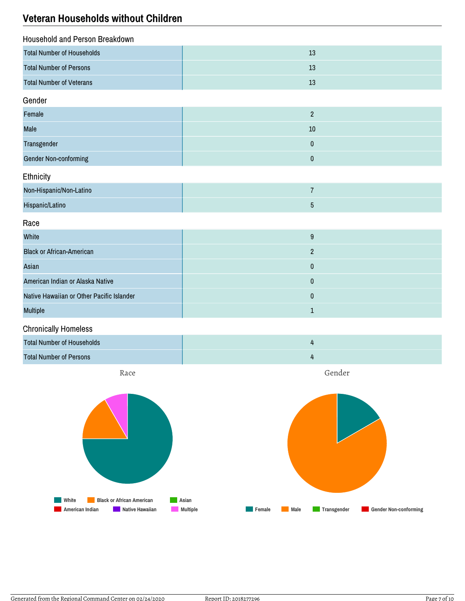## **Veteran Households without Children**

| Household and Person Breakdown    |    |
|-----------------------------------|----|
| <b>Total Number of Households</b> | 13 |
| <b>Total Number of Persons</b>    | 13 |
| <b>Total Number of Veterans</b>   | 13 |

#### Gender

| Female                |    |
|-----------------------|----|
| Male                  | 10 |
| Transgender           |    |
| Gender Non-conforming |    |

## Ethnicity

| Non-Hispanic/Non-Latino |  |
|-------------------------|--|
| Hispanic/Latino         |  |

#### Race

| White                                     | 9 |
|-------------------------------------------|---|
| <b>Black or African-American</b>          |   |
| Asian                                     | 0 |
| American Indian or Alaska Native          | 0 |
| Native Hawaiian or Other Pacific Islander | 0 |
| <b>Multiple</b>                           |   |

#### Chronically Homeless

| <b>Total Number of Households</b> |  |
|-----------------------------------|--|
| <b>Total Number of Persons</b>    |  |

Race

Gender

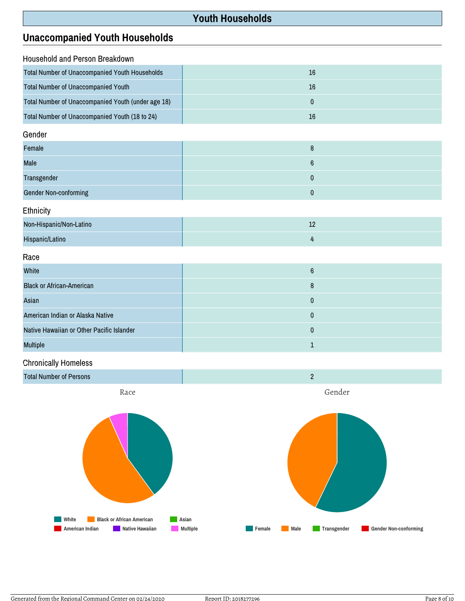## **Youth Households**

## **Unaccompanied Youth Households**

| Household and Person Breakdown                        |    |
|-------------------------------------------------------|----|
| <b>Total Number of Unaccompanied Youth Households</b> | 16 |
| <b>Total Number of Unaccompanied Youth</b>            | 16 |
| Total Number of Unaccompanied Youth (under age 18)    |    |
| Total Number of Unaccompanied Youth (18 to 24)        | 16 |
| Gender                                                |    |

| Female                       |  |
|------------------------------|--|
| <b>Male</b>                  |  |
| Transgender                  |  |
| <b>Gender Non-conforming</b> |  |

Ethnicity

| Non-Hispanic/Non-Latino | --- |
|-------------------------|-----|
| Hispanic/Latino         |     |

Race

| White                                     | 6 |
|-------------------------------------------|---|
| <b>Black or African-American</b>          | 8 |
| Asian                                     |   |
| American Indian or Alaska Native          |   |
| Native Hawaiian or Other Pacific Islander | 0 |
| <b>Multiple</b>                           |   |

#### Chronically Homeless





Generated from the Regional Command Center on 02/24/2020 Report ID: 2018277296 Report ID: 2018277296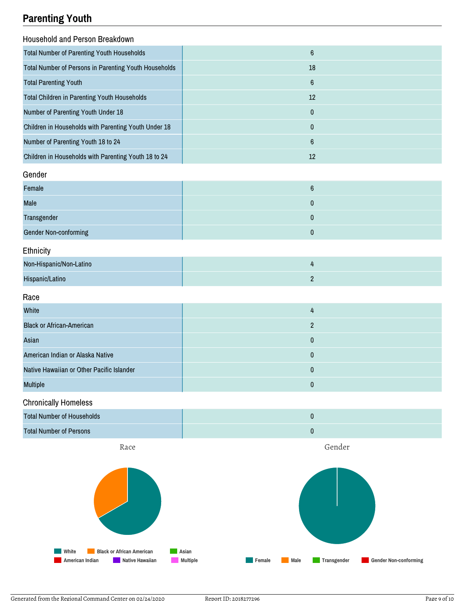# **Parenting Youth**

| <b>Household and Person Breakdown</b>                 |                  |
|-------------------------------------------------------|------------------|
| Total Number of Parenting Youth Households            | $6\phantom{a}$   |
| Total Number of Persons in Parenting Youth Households | 18               |
| <b>Total Parenting Youth</b>                          | $6\phantom{a}$   |
| Total Children in Parenting Youth Households          | 12               |
| Number of Parenting Youth Under 18                    | $\pmb{0}$        |
| Children in Households with Parenting Youth Under 18  | $\bf{0}$         |
| Number of Parenting Youth 18 to 24                    | $\boldsymbol{6}$ |
| Children in Households with Parenting Youth 18 to 24  | 12               |
| Gender                                                |                  |
| Female                                                | $\boldsymbol{6}$ |
| Male                                                  | 0                |
| Transgender                                           | $\mathbf{0}$     |
| Gender Non-conforming                                 | 0                |
| Ethnicity                                             |                  |
| Non-Hispanic/Non-Latino                               | 4                |
| Hispanic/Latino                                       | $\overline{2}$   |

#### Race

| White                                     | 4 |
|-------------------------------------------|---|
| <b>Black or African-American</b>          |   |
| Asian                                     |   |
| American Indian or Alaska Native          |   |
| Native Hawaiian or Other Pacific Islander |   |
| <b>Multiple</b>                           |   |

#### Chronically Homeless